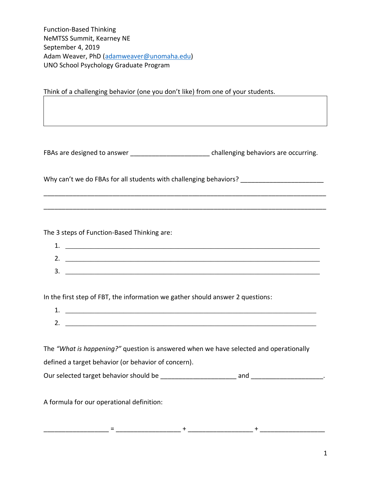Function-Based Thinking NeMTSS Summit, Kearney NE September 4, 2019 Adam Weaver, PhD [\(adamweaver@unomaha.edu\)](mailto:adamweaver@unomaha.edu) UNO School Psychology Graduate Program

Think of a challenging behavior (one you don't like) from one of your students.

FBAs are designed to answer expression of the challenging behaviors are occurring.

Why can't we do FBAs for all students with challenging behaviors? \_\_\_\_\_\_\_\_\_\_\_\_\_\_\_

\_\_\_\_\_\_\_\_\_\_\_\_\_\_\_\_\_\_\_\_\_\_\_\_\_\_\_\_\_\_\_\_\_\_\_\_\_\_\_\_\_\_\_\_\_\_\_\_\_\_\_\_\_\_\_\_\_\_\_\_\_\_\_\_\_\_\_\_\_\_\_\_\_\_\_\_\_\_

\_\_\_\_\_\_\_\_\_\_\_\_\_\_\_\_\_\_\_\_\_\_\_\_\_\_\_\_\_\_\_\_\_\_\_\_\_\_\_\_\_\_\_\_\_\_\_\_\_\_\_\_\_\_\_\_\_\_\_\_\_\_\_\_\_\_\_\_\_\_\_\_\_\_\_\_\_\_

The 3 steps of Function-Based Thinking are:

| ᅩ       |  |
|---------|--|
| ∽<br>z. |  |
| 3.      |  |

In the first step of FBT, the information we gather should answer 2 questions:

| ∽<br>. ـ |  |
|----------|--|

The *"What is happening?"* question is answered when we have selected and operationally defined a target behavior (or behavior of concern). Our selected target behavior should be \_\_\_\_\_\_\_\_\_\_\_\_\_\_\_\_\_\_\_\_\_ and \_\_\_\_\_\_\_\_\_\_\_\_\_\_\_\_\_\_\_\_.

A formula for our operational definition:

\_\_\_\_\_\_\_\_\_\_\_\_\_\_\_\_\_\_ = \_\_\_\_\_\_\_\_\_\_\_\_\_\_\_\_\_\_ + \_\_\_\_\_\_\_\_\_\_\_\_\_\_\_\_\_\_ + \_\_\_\_\_\_\_\_\_\_\_\_\_\_\_\_\_\_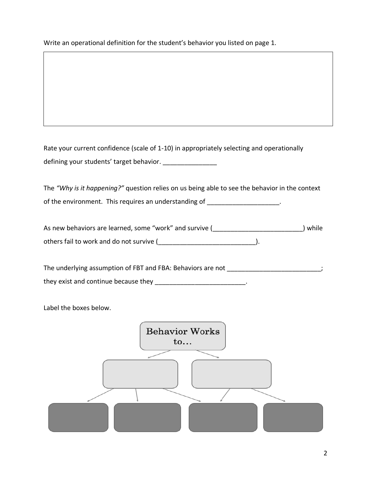Write an operational definition for the student's behavior you listed on page 1.

Rate your current confidence (scale of 1-10) in appropriately selecting and operationally defining your students' target behavior. \_\_\_\_\_\_\_\_\_\_\_\_\_\_\_

The *"Why is it happening?"* question relies on us being able to see the behavior in the context of the environment. This requires an understanding of  $\blacksquare$ 

As new behaviors are learned, some "work" and survive (\_\_\_\_\_\_\_\_\_\_\_\_\_\_\_\_\_\_\_\_\_\_\_\_\_) while others fail to work and do not survive (\_\_\_\_\_\_\_\_\_\_\_\_\_\_\_\_\_\_\_\_\_\_\_\_\_\_\_).

The underlying assumption of FBT and FBA: Behaviors are not \_\_\_\_\_\_\_\_\_\_\_\_\_\_\_\_\_\_\_\_\_\_\_\_\_; they exist and continue because they \_\_\_\_\_\_\_\_\_\_\_\_\_\_\_\_\_\_\_\_\_\_\_\_\_\_\_\_\_..

Label the boxes below.

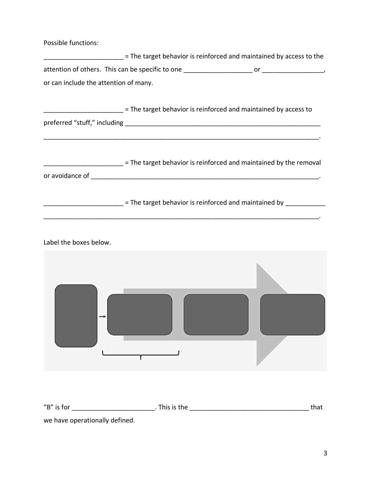Possible functions:

| = The target behavior is reinforced and maintained by access to the |    |
|---------------------------------------------------------------------|----|
| attention of others. This can be specific to one                    | or |
| or can include the attention of many.                               |    |
|                                                                     |    |

|                              | = The target behavior is reinforced and maintained by access to |
|------------------------------|-----------------------------------------------------------------|
| preferred "stuff," including |                                                                 |

 $\frac{1}{2}$  = The target behavior is reinforced and maintained by the removal or avoidance of \_\_\_\_\_\_\_\_\_\_\_\_\_\_\_\_\_\_\_\_\_\_\_\_\_\_\_\_\_\_\_\_\_\_\_\_\_\_\_\_\_\_\_\_\_\_\_\_\_\_\_\_\_\_\_\_\_\_\_\_\_\_\_.

\_\_\_\_\_\_\_\_\_\_\_\_\_\_\_\_\_\_\_\_\_\_ = The target behavior is reinforced and maintained by \_\_\_\_\_\_\_\_\_\_\_

\_\_\_\_\_\_\_\_\_\_\_\_\_\_\_\_\_\_\_\_\_\_\_\_\_\_\_\_\_\_\_\_\_\_\_\_\_\_\_\_\_\_\_\_\_\_\_\_\_\_\_\_\_\_\_\_\_\_\_\_\_\_\_\_\_\_\_\_\_\_\_\_\_\_\_\_.

Label the boxes below.

| -                                            |                              |      |
|----------------------------------------------|------------------------------|------|
| $^{\prime\prime}$ B $^{\prime\prime}$ is for | $\overline{a}$ . This is the | that |

we have operationally defined.

 $\frac{1}{2}$  ,  $\frac{1}{2}$  ,  $\frac{1}{2}$  ,  $\frac{1}{2}$  ,  $\frac{1}{2}$  ,  $\frac{1}{2}$  ,  $\frac{1}{2}$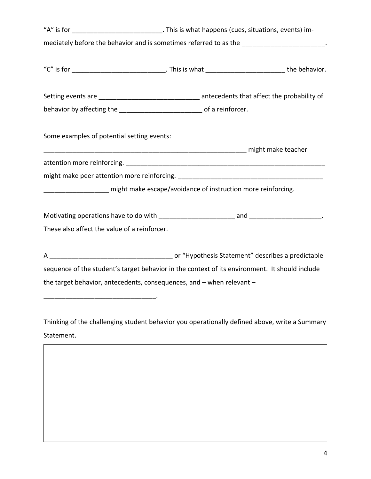|                                                                                                | "A" is for ________________________________. This is what happens (cues, situations, events) im- |  |  |
|------------------------------------------------------------------------------------------------|--------------------------------------------------------------------------------------------------|--|--|
| mediately before the behavior and is sometimes referred to as the _____________________.       |                                                                                                  |  |  |
|                                                                                                |                                                                                                  |  |  |
|                                                                                                |                                                                                                  |  |  |
| behavior by affecting the _________________________________ of a reinforcer.                   |                                                                                                  |  |  |
| Some examples of potential setting events:                                                     |                                                                                                  |  |  |
|                                                                                                |                                                                                                  |  |  |
|                                                                                                |                                                                                                  |  |  |
|                                                                                                |                                                                                                  |  |  |
| _____________________ might make escape/avoidance of instruction more reinforcing.             |                                                                                                  |  |  |
|                                                                                                |                                                                                                  |  |  |
| These also affect the value of a reinforcer.                                                   |                                                                                                  |  |  |
|                                                                                                |                                                                                                  |  |  |
| sequence of the student's target behavior in the context of its environment. It should include |                                                                                                  |  |  |
| the target behavior, antecedents, consequences, and - when relevant -                          |                                                                                                  |  |  |

Thinking of the challenging student behavior you operationally defined above, write a Summary Statement.